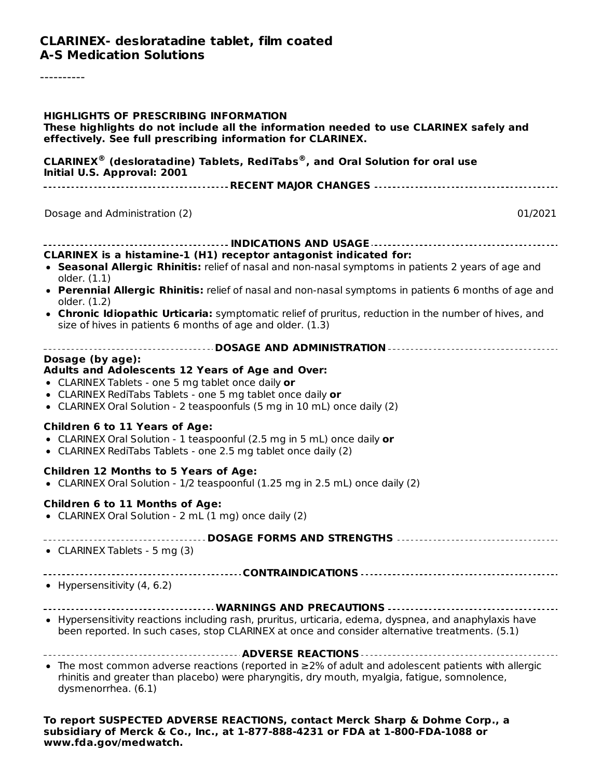#### **CLARINEX- desloratadine tablet, film coated A-S Medication Solutions**

----------

| <b>HIGHLIGHTS OF PRESCRIBING INFORMATION</b><br>These highlights do not include all the information needed to use CLARINEX safely and<br>effectively. See full prescribing information for CLARINEX.                                                                  |  |  |  |  |
|-----------------------------------------------------------------------------------------------------------------------------------------------------------------------------------------------------------------------------------------------------------------------|--|--|--|--|
| <b>CLARINEX<sup>®</sup></b> (desloratadine) Tablets, RediTabs <sup>®</sup> , and Oral Solution for oral use<br>Initial U.S. Approval: 2001                                                                                                                            |  |  |  |  |
| Dosage and Administration (2)<br>01/2021                                                                                                                                                                                                                              |  |  |  |  |
| CLARINEX is a histamine-1 (H1) receptor antagonist indicated for:<br>• Seasonal Allergic Rhinitis: relief of nasal and non-nasal symptoms in patients 2 years of age and                                                                                              |  |  |  |  |
| older. (1.1)<br>• Perennial Allergic Rhinitis: relief of nasal and non-nasal symptoms in patients 6 months of age and<br>older. (1.2)<br>• Chronic Idiopathic Urticaria: symptomatic relief of pruritus, reduction in the number of hives, and                        |  |  |  |  |
| size of hives in patients 6 months of age and older. (1.3)                                                                                                                                                                                                            |  |  |  |  |
| Dosage (by age):<br>Adults and Adolescents 12 Years of Age and Over:<br>• CLARINEX Tablets - one 5 mg tablet once daily or<br>• CLARINEX RediTabs Tablets - one 5 mg tablet once daily or<br>• CLARINEX Oral Solution - 2 teaspoonfuls (5 mg in 10 mL) once daily (2) |  |  |  |  |
| <b>Children 6 to 11 Years of Age:</b><br>• CLARINEX Oral Solution - 1 teaspoonful (2.5 mg in 5 mL) once daily or<br>• CLARINEX RediTabs Tablets - one 2.5 mg tablet once daily (2)                                                                                    |  |  |  |  |
| <b>Children 12 Months to 5 Years of Age:</b><br>• CLARINEX Oral Solution - 1/2 teaspoonful (1.25 mg in 2.5 mL) once daily (2)                                                                                                                                         |  |  |  |  |
| <b>Children 6 to 11 Months of Age:</b><br>• CLARINEX Oral Solution - 2 mL (1 mg) once daily (2)                                                                                                                                                                       |  |  |  |  |
| <b>DOSAGE FORMS AND STRENGTHS</b><br>• CLARINEX Tablets - 5 mg (3)                                                                                                                                                                                                    |  |  |  |  |
| • Hypersensitivity $(4, 6.2)$                                                                                                                                                                                                                                         |  |  |  |  |
| • Hypersensitivity reactions including rash, pruritus, urticaria, edema, dyspnea, and anaphylaxis have<br>been reported. In such cases, stop CLARINEX at once and consider alternative treatments. (5.1)                                                              |  |  |  |  |
| • The most common adverse reactions (reported in $\geq$ 2% of adult and adolescent patients with allergic<br>rhinitis and greater than placebo) were pharyngitis, dry mouth, myalgia, fatigue, somnolence,<br>dysmenorrhea. (6.1)                                     |  |  |  |  |
| To report SUSPECTED ADVERSE REACTIONS, contact Merck Sharp & Dohme Corp., a                                                                                                                                                                                           |  |  |  |  |

**subsidiary of Merck & Co., Inc., at 1-877-888-4231 or FDA at 1-800-FDA-1088 or www.fda.gov/medwatch.**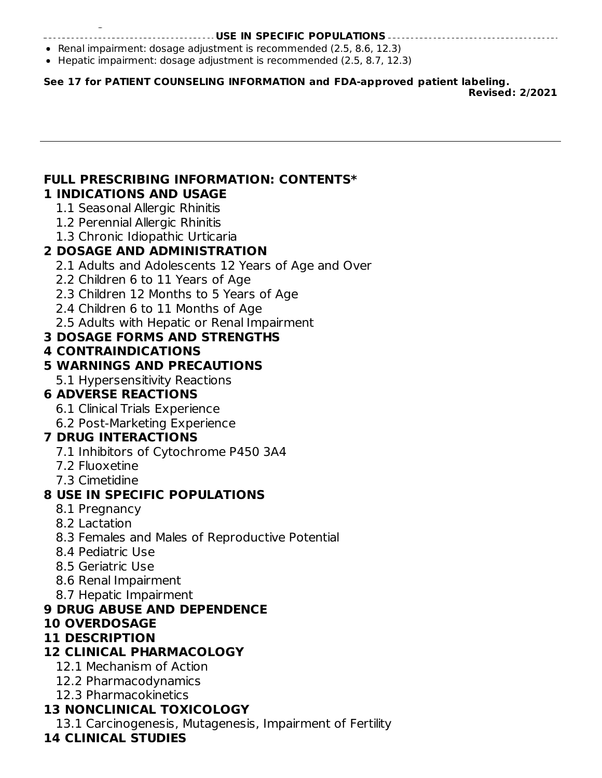#### **USE IN SPECIFIC POPULATIONS**

- **•** Renal impairment: dosage adjustment is recommended  $(2.5, 8.6, 12.3)$
- Hepatic impairment: dosage adjustment is recommended (2.5, 8.7, 12.3)

**See 17 for PATIENT COUNSELING INFORMATION and FDA-approved patient labeling.**

**Revised: 2/2021**

#### **FULL PRESCRIBING INFORMATION: CONTENTS\* 1 INDICATIONS AND USAGE**

1.1 Seasonal Allergic Rhinitis

**www.fda.gov/medwatch.**

- 1.2 Perennial Allergic Rhinitis
- 1.3 Chronic Idiopathic Urticaria

### **2 DOSAGE AND ADMINISTRATION**

- 2.1 Adults and Adolescents 12 Years of Age and Over
- 2.2 Children 6 to 11 Years of Age
- 2.3 Children 12 Months to 5 Years of Age
- 2.4 Children 6 to 11 Months of Age
- 2.5 Adults with Hepatic or Renal Impairment

### **3 DOSAGE FORMS AND STRENGTHS**

### **4 CONTRAINDICATIONS**

### **5 WARNINGS AND PRECAUTIONS**

5.1 Hypersensitivity Reactions

## **6 ADVERSE REACTIONS**

- 6.1 Clinical Trials Experience
- 6.2 Post-Marketing Experience

### **7 DRUG INTERACTIONS**

- 7.1 Inhibitors of Cytochrome P450 3A4
- 7.2 Fluoxetine
- 7.3 Cimetidine

### **8 USE IN SPECIFIC POPULATIONS**

- 8.1 Pregnancy
- 8.2 Lactation
- 8.3 Females and Males of Reproductive Potential
- 8.4 Pediatric Use
- 8.5 Geriatric Use
- 8.6 Renal Impairment
- 8.7 Hepatic Impairment

### **9 DRUG ABUSE AND DEPENDENCE**

### **10 OVERDOSAGE**

### **11 DESCRIPTION**

# **12 CLINICAL PHARMACOLOGY**

- 12.1 Mechanism of Action
- 12.2 Pharmacodynamics
- 12.3 Pharmacokinetics

# **13 NONCLINICAL TOXICOLOGY**

13.1 Carcinogenesis, Mutagenesis, Impairment of Fertility

### **14 CLINICAL STUDIES**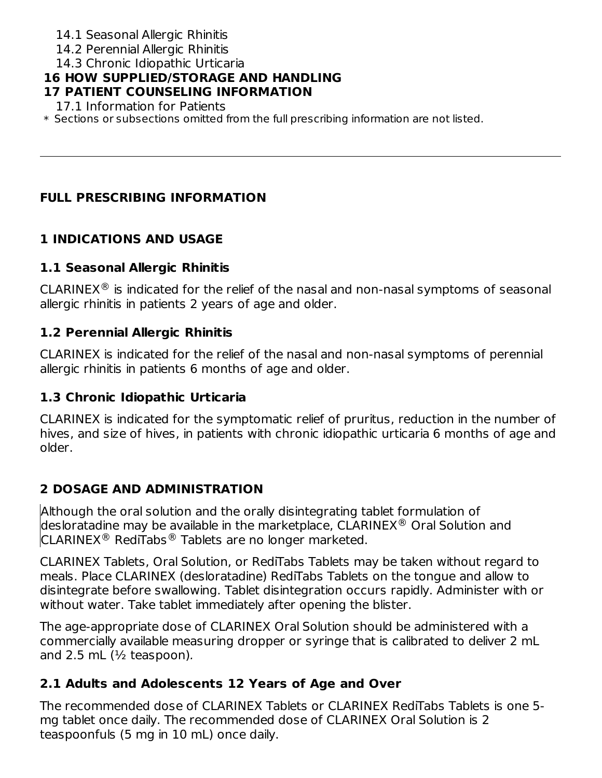- 14.1 Seasonal Allergic Rhinitis
- 14.2 Perennial Allergic Rhinitis
- 14.3 Chronic Idiopathic Urticaria

# **16 HOW SUPPLIED/STORAGE AND HANDLING**

### **17 PATIENT COUNSELING INFORMATION**

17.1 Information for Patients

\* Sections or subsections omitted from the full prescribing information are not listed.

# **FULL PRESCRIBING INFORMATION**

# **1 INDICATIONS AND USAGE**

# **1.1 Seasonal Allergic Rhinitis**

CLARINEX $<sup>®</sup>$  is indicated for the relief of the nasal and non-nasal symptoms of seasonal</sup> allergic rhinitis in patients 2 years of age and older.

# **1.2 Perennial Allergic Rhinitis**

CLARINEX is indicated for the relief of the nasal and non-nasal symptoms of perennial allergic rhinitis in patients 6 months of age and older.

# **1.3 Chronic Idiopathic Urticaria**

CLARINEX is indicated for the symptomatic relief of pruritus, reduction in the number of hives, and size of hives, in patients with chronic idiopathic urticaria 6 months of age and older.

# **2 DOSAGE AND ADMINISTRATION**

Although the oral solution and the orally disintegrating tablet formulation of desloratadine may be available in the marketplace,  $\mathsf{CLARINEX}^{\circledR}$  Oral Solution and CLARINEX<sup>®</sup> RediTabs<sup>®</sup> Tablets are no longer marketed.

CLARINEX Tablets, Oral Solution, or RediTabs Tablets may be taken without regard to meals. Place CLARINEX (desloratadine) RediTabs Tablets on the tongue and allow to disintegrate before swallowing. Tablet disintegration occurs rapidly. Administer with or without water. Take tablet immediately after opening the blister.

The age-appropriate dose of CLARINEX Oral Solution should be administered with a commercially available measuring dropper or syringe that is calibrated to deliver 2 mL and 2.5 mL  $(\frac{1}{2})$  teaspoon).

# **2.1 Adults and Adolescents 12 Years of Age and Over**

The recommended dose of CLARINEX Tablets or CLARINEX RediTabs Tablets is one 5 mg tablet once daily. The recommended dose of CLARINEX Oral Solution is 2 teaspoonfuls (5 mg in 10 mL) once daily.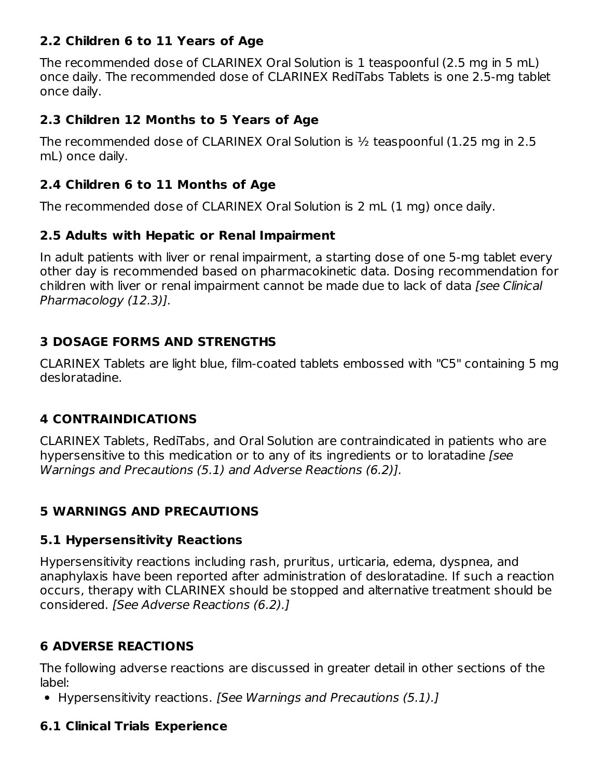### **2.2 Children 6 to 11 Years of Age**

The recommended dose of CLARINEX Oral Solution is 1 teaspoonful (2.5 mg in 5 mL) once daily. The recommended dose of CLARINEX RediTabs Tablets is one 2.5-mg tablet once daily.

### **2.3 Children 12 Months to 5 Years of Age**

The recommended dose of CLARINEX Oral Solution is  $\frac{1}{2}$  teaspoonful (1.25 mg in 2.5 mL) once daily.

## **2.4 Children 6 to 11 Months of Age**

The recommended dose of CLARINEX Oral Solution is 2 mL (1 mg) once daily.

### **2.5 Adults with Hepatic or Renal Impairment**

In adult patients with liver or renal impairment, a starting dose of one 5-mg tablet every other day is recommended based on pharmacokinetic data. Dosing recommendation for children with liver or renal impairment cannot be made due to lack of data [see Clinical Pharmacology (12.3)].

### **3 DOSAGE FORMS AND STRENGTHS**

CLARINEX Tablets are light blue, film-coated tablets embossed with "C5" containing 5 mg desloratadine.

### **4 CONTRAINDICATIONS**

CLARINEX Tablets, RediTabs, and Oral Solution are contraindicated in patients who are hypersensitive to this medication or to any of its ingredients or to loratadine [see Warnings and Precautions (5.1) and Adverse Reactions (6.2)].

### **5 WARNINGS AND PRECAUTIONS**

### **5.1 Hypersensitivity Reactions**

Hypersensitivity reactions including rash, pruritus, urticaria, edema, dyspnea, and anaphylaxis have been reported after administration of desloratadine. If such a reaction occurs, therapy with CLARINEX should be stopped and alternative treatment should be considered. [See Adverse Reactions (6.2).]

# **6 ADVERSE REACTIONS**

The following adverse reactions are discussed in greater detail in other sections of the label:

• Hypersensitivity reactions. [See Warnings and Precautions (5.1).]

### **6.1 Clinical Trials Experience**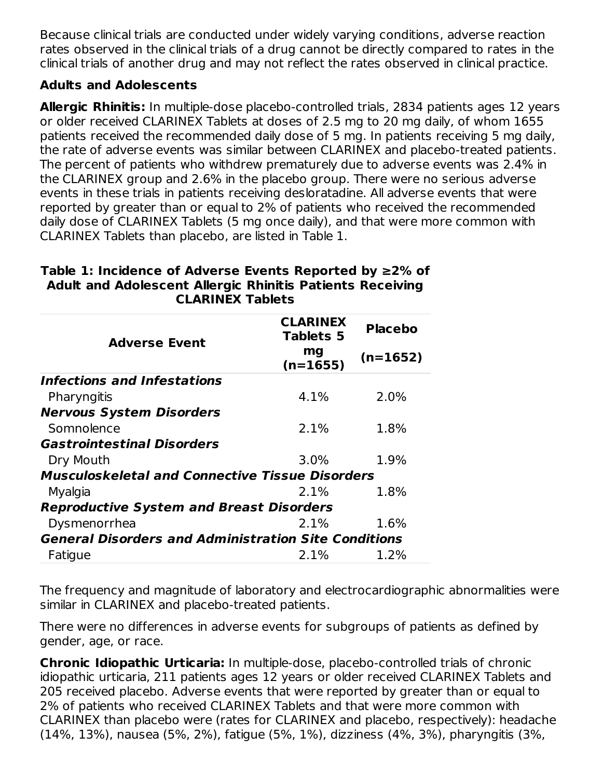Because clinical trials are conducted under widely varying conditions, adverse reaction rates observed in the clinical trials of a drug cannot be directly compared to rates in the clinical trials of another drug and may not reflect the rates observed in clinical practice.

### **Adults and Adolescents**

**Allergic Rhinitis:** In multiple-dose placebo-controlled trials, 2834 patients ages 12 years or older received CLARINEX Tablets at doses of 2.5 mg to 20 mg daily, of whom 1655 patients received the recommended daily dose of 5 mg. In patients receiving 5 mg daily, the rate of adverse events was similar between CLARINEX and placebo-treated patients. The percent of patients who withdrew prematurely due to adverse events was 2.4% in the CLARINEX group and 2.6% in the placebo group. There were no serious adverse events in these trials in patients receiving desloratadine. All adverse events that were reported by greater than or equal to 2% of patients who received the recommended daily dose of CLARINEX Tablets (5 mg once daily), and that were more common with CLARINEX Tablets than placebo, are listed in Table 1.

| <b>Adverse Event</b>                                        | <b>CLARINEX</b><br><b>Tablets 5</b> | <b>Placebo</b> |
|-------------------------------------------------------------|-------------------------------------|----------------|
|                                                             | mg<br>$(n=1655)$                    | $(n=1652)$     |
| Infections and Infestations                                 |                                     |                |
| Pharyngitis                                                 | 4.1%                                | 2.0%           |
| <b>Nervous System Disorders</b>                             |                                     |                |
| Somnolence                                                  | 2.1%                                | 1.8%           |
| <b>Gastrointestinal Disorders</b>                           |                                     |                |
| Dry Mouth                                                   | 3.0%                                | 1.9%           |
| <b>Musculoskeletal and Connective Tissue Disorders</b>      |                                     |                |
| Myalgia                                                     | 2.1%                                | 1.8%           |
| <b>Reproductive System and Breast Disorders</b>             |                                     |                |
| Dysmenorrhea                                                | $2.1\%$                             | 1.6%           |
| <b>General Disorders and Administration Site Conditions</b> |                                     |                |
| Fatigue                                                     | 2.1%                                | 1.2%           |

#### **Table 1: Incidence of Adverse Events Reported by ≥2% of Adult and Adolescent Allergic Rhinitis Patients Receiving CLARINEX Tablets**

The frequency and magnitude of laboratory and electrocardiographic abnormalities were similar in CLARINEX and placebo-treated patients.

There were no differences in adverse events for subgroups of patients as defined by gender, age, or race.

**Chronic Idiopathic Urticaria:** In multiple-dose, placebo-controlled trials of chronic idiopathic urticaria, 211 patients ages 12 years or older received CLARINEX Tablets and 205 received placebo. Adverse events that were reported by greater than or equal to 2% of patients who received CLARINEX Tablets and that were more common with CLARINEX than placebo were (rates for CLARINEX and placebo, respectively): headache (14%, 13%), nausea (5%, 2%), fatigue (5%, 1%), dizziness (4%, 3%), pharyngitis (3%,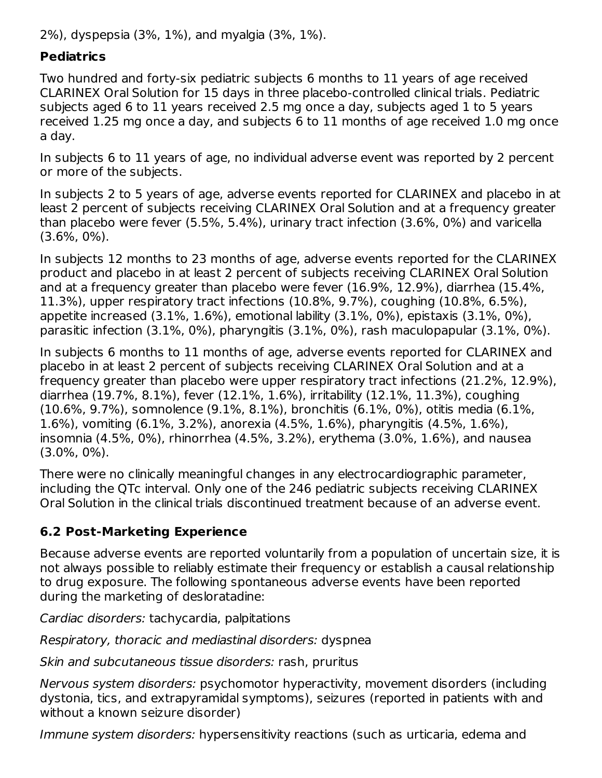2%), dyspepsia (3%, 1%), and myalgia (3%, 1%).

### **Pediatrics**

Two hundred and forty-six pediatric subjects 6 months to 11 years of age received CLARINEX Oral Solution for 15 days in three placebo-controlled clinical trials. Pediatric subjects aged 6 to 11 years received 2.5 mg once a day, subjects aged 1 to 5 years received 1.25 mg once a day, and subjects 6 to 11 months of age received 1.0 mg once a day.

In subjects 6 to 11 years of age, no individual adverse event was reported by 2 percent or more of the subjects.

In subjects 2 to 5 years of age, adverse events reported for CLARINEX and placebo in at least 2 percent of subjects receiving CLARINEX Oral Solution and at a frequency greater than placebo were fever (5.5%, 5.4%), urinary tract infection (3.6%, 0%) and varicella (3.6%, 0%).

In subjects 12 months to 23 months of age, adverse events reported for the CLARINEX product and placebo in at least 2 percent of subjects receiving CLARINEX Oral Solution and at a frequency greater than placebo were fever (16.9%, 12.9%), diarrhea (15.4%, 11.3%), upper respiratory tract infections (10.8%, 9.7%), coughing (10.8%, 6.5%), appetite increased (3.1%, 1.6%), emotional lability (3.1%, 0%), epistaxis (3.1%, 0%), parasitic infection (3.1%, 0%), pharyngitis (3.1%, 0%), rash maculopapular (3.1%, 0%).

In subjects 6 months to 11 months of age, adverse events reported for CLARINEX and placebo in at least 2 percent of subjects receiving CLARINEX Oral Solution and at a frequency greater than placebo were upper respiratory tract infections (21.2%, 12.9%), diarrhea (19.7%, 8.1%), fever (12.1%, 1.6%), irritability (12.1%, 11.3%), coughing (10.6%, 9.7%), somnolence (9.1%, 8.1%), bronchitis (6.1%, 0%), otitis media (6.1%, 1.6%), vomiting (6.1%, 3.2%), anorexia (4.5%, 1.6%), pharyngitis (4.5%, 1.6%), insomnia (4.5%, 0%), rhinorrhea (4.5%, 3.2%), erythema (3.0%, 1.6%), and nausea (3.0%, 0%).

There were no clinically meaningful changes in any electrocardiographic parameter, including the QTc interval. Only one of the 246 pediatric subjects receiving CLARINEX Oral Solution in the clinical trials discontinued treatment because of an adverse event.

### **6.2 Post-Marketing Experience**

Because adverse events are reported voluntarily from a population of uncertain size, it is not always possible to reliably estimate their frequency or establish a causal relationship to drug exposure. The following spontaneous adverse events have been reported during the marketing of desloratadine:

Cardiac disorders: tachycardia, palpitations

Respiratory, thoracic and mediastinal disorders: dyspnea

Skin and subcutaneous tissue disorders: rash, pruritus

Nervous system disorders: psychomotor hyperactivity, movement disorders (including dystonia, tics, and extrapyramidal symptoms), seizures (reported in patients with and without a known seizure disorder)

Immune system disorders: hypersensitivity reactions (such as urticaria, edema and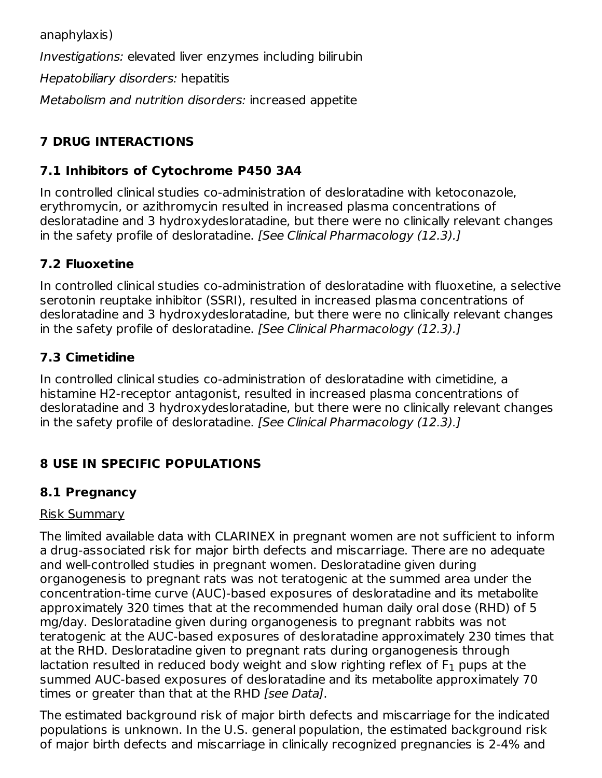anaphylaxis) Investigations: elevated liver enzymes including bilirubin Hepatobiliary disorders: hepatitis Metabolism and nutrition disorders: increased appetite

# **7 DRUG INTERACTIONS**

# **7.1 Inhibitors of Cytochrome P450 3A4**

In controlled clinical studies co-administration of desloratadine with ketoconazole, erythromycin, or azithromycin resulted in increased plasma concentrations of desloratadine and 3 hydroxydesloratadine, but there were no clinically relevant changes in the safety profile of desloratadine. [See Clinical Pharmacology (12.3).]

# **7.2 Fluoxetine**

In controlled clinical studies co-administration of desloratadine with fluoxetine, a selective serotonin reuptake inhibitor (SSRI), resulted in increased plasma concentrations of desloratadine and 3 hydroxydesloratadine, but there were no clinically relevant changes in the safety profile of desloratadine. [See Clinical Pharmacology (12.3).]

# **7.3 Cimetidine**

In controlled clinical studies co-administration of desloratadine with cimetidine, a histamine H2-receptor antagonist, resulted in increased plasma concentrations of desloratadine and 3 hydroxydesloratadine, but there were no clinically relevant changes in the safety profile of desloratadine. [See Clinical Pharmacology (12.3).]

# **8 USE IN SPECIFIC POPULATIONS**

# **8.1 Pregnancy**

### Risk Summary

The limited available data with CLARINEX in pregnant women are not sufficient to inform a drug-associated risk for major birth defects and miscarriage. There are no adequate and well-controlled studies in pregnant women. Desloratadine given during organogenesis to pregnant rats was not teratogenic at the summed area under the concentration-time curve (AUC)-based exposures of desloratadine and its metabolite approximately 320 times that at the recommended human daily oral dose (RHD) of 5 mg/day. Desloratadine given during organogenesis to pregnant rabbits was not teratogenic at the AUC-based exposures of desloratadine approximately 230 times that at the RHD. Desloratadine given to pregnant rats during organogenesis through lactation resulted in reduced body weight and slow righting reflex of  ${\sf F}_1$  pups at the summed AUC-based exposures of desloratadine and its metabolite approximately 70 times or greater than that at the RHD [see Data].

The estimated background risk of major birth defects and miscarriage for the indicated populations is unknown. In the U.S. general population, the estimated background risk of major birth defects and miscarriage in clinically recognized pregnancies is 2-4% and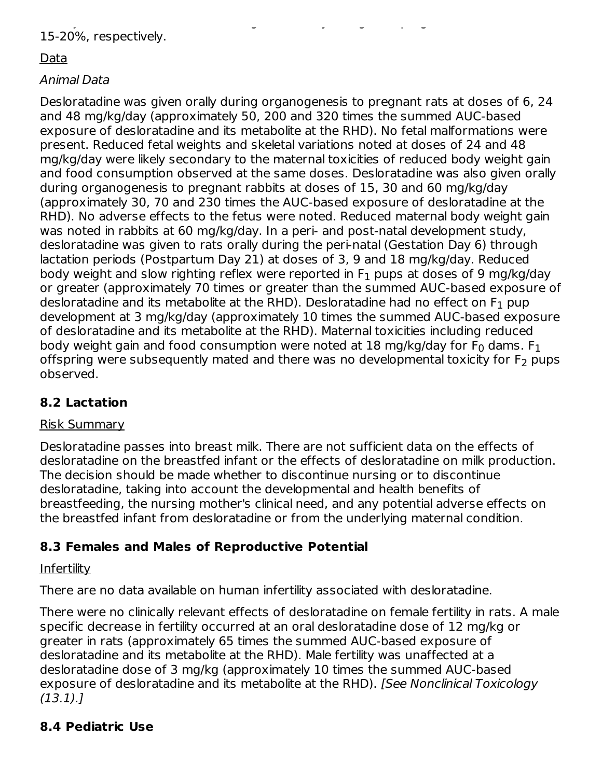of major birth defects and miscarriage in clinically recognized pregnancies is 2-4% and 15-20%, respectively.

## Data

## Animal Data

Desloratadine was given orally during organogenesis to pregnant rats at doses of 6, 24 and 48 mg/kg/day (approximately 50, 200 and 320 times the summed AUC-based exposure of desloratadine and its metabolite at the RHD). No fetal malformations were present. Reduced fetal weights and skeletal variations noted at doses of 24 and 48 mg/kg/day were likely secondary to the maternal toxicities of reduced body weight gain and food consumption observed at the same doses. Desloratadine was also given orally during organogenesis to pregnant rabbits at doses of 15, 30 and 60 mg/kg/day (approximately 30, 70 and 230 times the AUC-based exposure of desloratadine at the RHD). No adverse effects to the fetus were noted. Reduced maternal body weight gain was noted in rabbits at 60 mg/kg/day. In a peri- and post-natal development study, desloratadine was given to rats orally during the peri-natal (Gestation Day 6) through lactation periods (Postpartum Day 21) at doses of 3, 9 and 18 mg/kg/day. Reduced body weight and slow righting reflex were reported in  $\mathsf F_1$  pups at doses of 9 mg/kg/day or greater (approximately 70 times or greater than the summed AUC-based exposure of desloratadine and its metabolite at the RHD). Desloratadine had no effect on F $_{\rm 1}$  pup development at 3 mg/kg/day (approximately 10 times the summed AUC-based exposure of desloratadine and its metabolite at the RHD). Maternal toxicities including reduced body weight gain and food consumption were noted at 18 mg/kg/day for F $_{\rm 0}$  dams. F $_{\rm 1}$ offspring were subsequently mated and there was no developmental toxicity for F<sub>2</sub> pups observed.

# **8.2 Lactation**

# Risk Summary

Desloratadine passes into breast milk. There are not sufficient data on the effects of desloratadine on the breastfed infant or the effects of desloratadine on milk production. The decision should be made whether to discontinue nursing or to discontinue desloratadine, taking into account the developmental and health benefits of breastfeeding, the nursing mother's clinical need, and any potential adverse effects on the breastfed infant from desloratadine or from the underlying maternal condition.

# **8.3 Females and Males of Reproductive Potential**

# **Infertility**

There are no data available on human infertility associated with desloratadine.

There were no clinically relevant effects of desloratadine on female fertility in rats. A male specific decrease in fertility occurred at an oral desloratadine dose of 12 mg/kg or greater in rats (approximately 65 times the summed AUC-based exposure of desloratadine and its metabolite at the RHD). Male fertility was unaffected at a desloratadine dose of 3 mg/kg (approximately 10 times the summed AUC-based exposure of desloratadine and its metabolite at the RHD). [See Nonclinical Toxicology (13.1).]

# **8.4 Pediatric Use**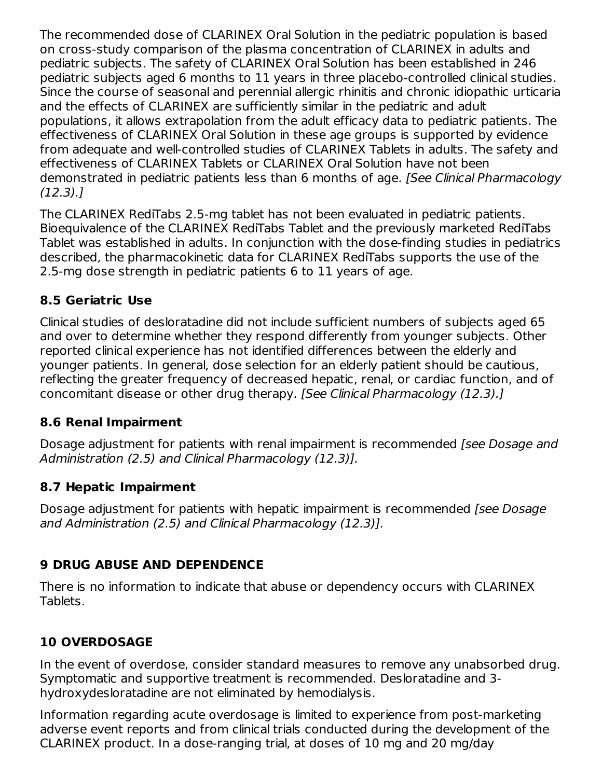The recommended dose of CLARINEX Oral Solution in the pediatric population is based on cross-study comparison of the plasma concentration of CLARINEX in adults and pediatric subjects. The safety of CLARINEX Oral Solution has been established in 246 pediatric subjects aged 6 months to 11 years in three placebo-controlled clinical studies. Since the course of seasonal and perennial allergic rhinitis and chronic idiopathic urticaria and the effects of CLARINEX are sufficiently similar in the pediatric and adult populations, it allows extrapolation from the adult efficacy data to pediatric patients. The effectiveness of CLARINEX Oral Solution in these age groups is supported by evidence from adequate and well-controlled studies of CLARINEX Tablets in adults. The safety and effectiveness of CLARINEX Tablets or CLARINEX Oral Solution have not been demonstrated in pediatric patients less than 6 months of age. [See Clinical Pharmacology  $(12.3).$ 

The CLARINEX RediTabs 2.5-mg tablet has not been evaluated in pediatric patients. Bioequivalence of the CLARINEX RediTabs Tablet and the previously marketed RediTabs Tablet was established in adults. In conjunction with the dose-finding studies in pediatrics described, the pharmacokinetic data for CLARINEX RediTabs supports the use of the 2.5-mg dose strength in pediatric patients 6 to 11 years of age.

### **8.5 Geriatric Use**

Clinical studies of desloratadine did not include sufficient numbers of subjects aged 65 and over to determine whether they respond differently from younger subjects. Other reported clinical experience has not identified differences between the elderly and younger patients. In general, dose selection for an elderly patient should be cautious, reflecting the greater frequency of decreased hepatic, renal, or cardiac function, and of concomitant disease or other drug therapy. [See Clinical Pharmacology (12.3).]

### **8.6 Renal Impairment**

Dosage adjustment for patients with renal impairment is recommended [see Dosage and Administration (2.5) and Clinical Pharmacology (12.3)].

### **8.7 Hepatic Impairment**

Dosage adjustment for patients with hepatic impairment is recommended [see Dosage] and Administration (2.5) and Clinical Pharmacology (12.3)].

### **9 DRUG ABUSE AND DEPENDENCE**

There is no information to indicate that abuse or dependency occurs with CLARINEX Tablets.

### **10 OVERDOSAGE**

In the event of overdose, consider standard measures to remove any unabsorbed drug. Symptomatic and supportive treatment is recommended. Desloratadine and 3 hydroxydesloratadine are not eliminated by hemodialysis.

Information regarding acute overdosage is limited to experience from post-marketing adverse event reports and from clinical trials conducted during the development of the CLARINEX product. In a dose-ranging trial, at doses of 10 mg and 20 mg/day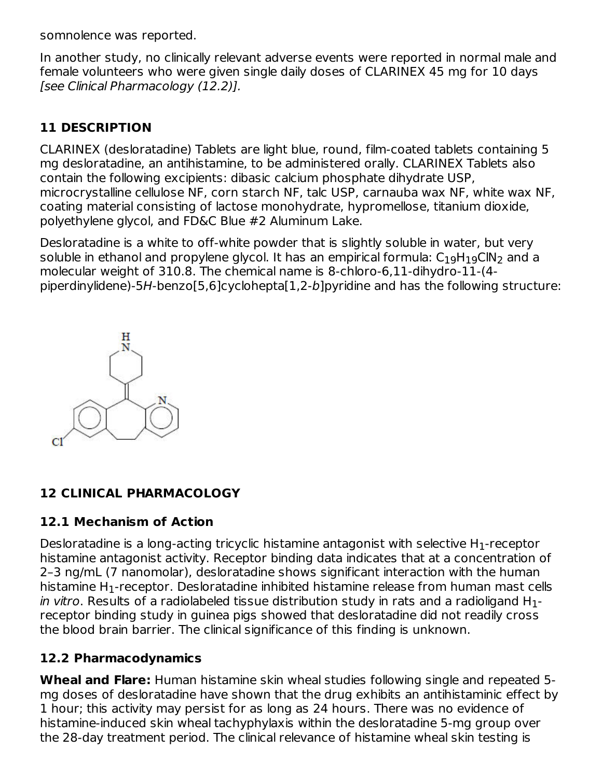somnolence was reported.

In another study, no clinically relevant adverse events were reported in normal male and female volunteers who were given single daily doses of CLARINEX 45 mg for 10 days [see Clinical Pharmacology (12.2)].

# **11 DESCRIPTION**

CLARINEX (desloratadine) Tablets are light blue, round, film-coated tablets containing 5 mg desloratadine, an antihistamine, to be administered orally. CLARINEX Tablets also contain the following excipients: dibasic calcium phosphate dihydrate USP, microcrystalline cellulose NF, corn starch NF, talc USP, carnauba wax NF, white wax NF, coating material consisting of lactose monohydrate, hypromellose, titanium dioxide, polyethylene glycol, and FD&C Blue #2 Aluminum Lake.

Desloratadine is a white to off-white powder that is slightly soluble in water, but very soluble in ethanol and propylene glycol. It has an empirical formula:  $\mathsf{C}_1$ <sub>9</sub>H $_{19}$ ClN $_{2}$  and a molecular weight of 310.8. The chemical name is 8-chloro-6,11-dihydro-11-(4 piperdinylidene)-5H-benzo[5,6]cyclohepta[1,2-b]pyridine and has the following structure:



# **12 CLINICAL PHARMACOLOGY**

### **12.1 Mechanism of Action**

Desloratadine is a long-acting tricyclic histamine antagonist with selective  ${\sf H}_1$ -receptor histamine antagonist activity. Receptor binding data indicates that at a concentration of 2–3 ng/mL (7 nanomolar), desloratadine shows significant interaction with the human histamine H $_{\rm 1}$ -receptor. Desloratadine inhibited histamine release from human mast cells *in vitro*. Results of a radiolabeled tissue distribution study in rats and a radioligand H $_{\rm 1}$ receptor binding study in guinea pigs showed that desloratadine did not readily cross the blood brain barrier. The clinical significance of this finding is unknown.

# **12.2 Pharmacodynamics**

**Wheal and Flare:** Human histamine skin wheal studies following single and repeated 5 mg doses of desloratadine have shown that the drug exhibits an antihistaminic effect by 1 hour; this activity may persist for as long as 24 hours. There was no evidence of histamine-induced skin wheal tachyphylaxis within the desloratadine 5-mg group over the 28-day treatment period. The clinical relevance of histamine wheal skin testing is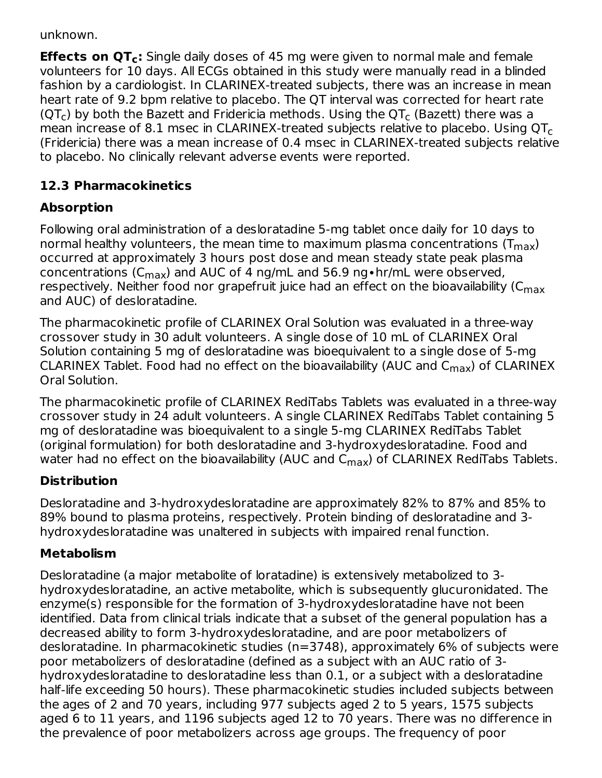unknown.

**Effects on QT :** Single daily doses of 45 mg were given to normal male and female **c** volunteers for 10 days. All ECGs obtained in this study were manually read in a blinded fashion by a cardiologist. In CLARINEX-treated subjects, there was an increase in mean heart rate of 9.2 bpm relative to placebo. The QT interval was corrected for heart rate (QT<sub>c</sub>) by both the Bazett and Fridericia methods. Using the QT<sub>c</sub> (Bazett) there was a mean increase of 8.1 msec in CLARINEX-treated subjects relative to placebo. Using  $\mathsf{QT}_{\mathsf{C}}$ (Fridericia) there was a mean increase of 0.4 msec in CLARINEX-treated subjects relative to placebo. No clinically relevant adverse events were reported.

# **12.3 Pharmacokinetics**

# **Absorption**

Following oral administration of a desloratadine 5-mg tablet once daily for 10 days to normal healthy volunteers, the mean time to maximum plasma concentrations (T $_{\sf max}$ ) occurred at approximately 3 hours post dose and mean steady state peak plasma concentrations (C $_{\rm max}$ ) and AUC of 4 ng/mL and 56.9 ng•hr/mL were observed, respectively. Neither food nor grapefruit juice had an effect on the bioavailability (C $_{\sf max}$ and AUC) of desloratadine.

The pharmacokinetic profile of CLARINEX Oral Solution was evaluated in a three-way crossover study in 30 adult volunteers. A single dose of 10 mL of CLARINEX Oral Solution containing 5 mg of desloratadine was bioequivalent to a single dose of 5-mg CLARINEX Tablet. Food had no effect on the bioavailability (AUC and  $\mathsf{C}_{\mathsf{max}}$ ) of CLARINEX Oral Solution.

The pharmacokinetic profile of CLARINEX RediTabs Tablets was evaluated in a three-way crossover study in 24 adult volunteers. A single CLARINEX RediTabs Tablet containing 5 mg of desloratadine was bioequivalent to a single 5-mg CLARINEX RediTabs Tablet (original formulation) for both desloratadine and 3-hydroxydesloratadine. Food and water had no effect on the bioavailability (AUC and C<sub>max</sub>) of CLARINEX RediTabs Tablets.

# **Distribution**

Desloratadine and 3-hydroxydesloratadine are approximately 82% to 87% and 85% to 89% bound to plasma proteins, respectively. Protein binding of desloratadine and 3 hydroxydesloratadine was unaltered in subjects with impaired renal function.

# **Metabolism**

Desloratadine (a major metabolite of loratadine) is extensively metabolized to 3 hydroxydesloratadine, an active metabolite, which is subsequently glucuronidated. The enzyme(s) responsible for the formation of 3-hydroxydesloratadine have not been identified. Data from clinical trials indicate that a subset of the general population has a decreased ability to form 3-hydroxydesloratadine, and are poor metabolizers of desloratadine. In pharmacokinetic studies (n=3748), approximately 6% of subjects were poor metabolizers of desloratadine (defined as a subject with an AUC ratio of 3 hydroxydesloratadine to desloratadine less than 0.1, or a subject with a desloratadine half-life exceeding 50 hours). These pharmacokinetic studies included subjects between the ages of 2 and 70 years, including 977 subjects aged 2 to 5 years, 1575 subjects aged 6 to 11 years, and 1196 subjects aged 12 to 70 years. There was no difference in the prevalence of poor metabolizers across age groups. The frequency of poor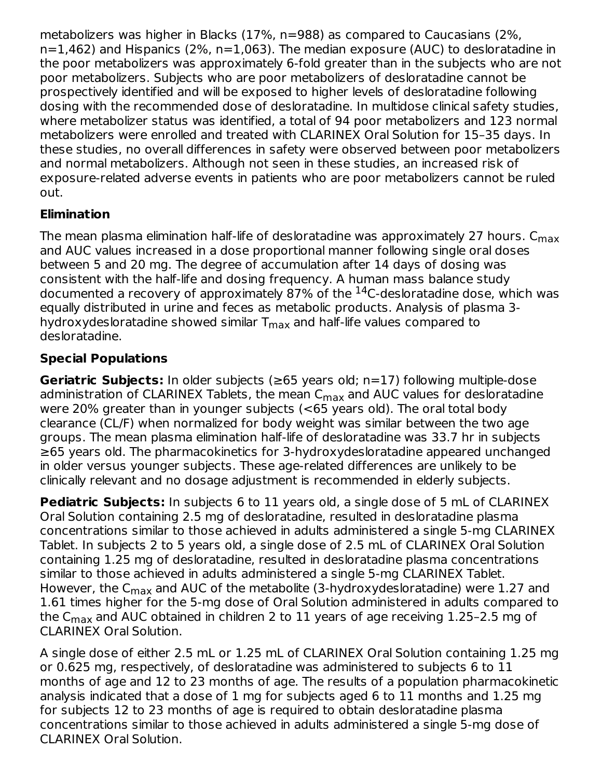metabolizers was higher in Blacks (17%, n=988) as compared to Caucasians (2%, n=1,462) and Hispanics (2%, n=1,063). The median exposure (AUC) to desloratadine in the poor metabolizers was approximately 6-fold greater than in the subjects who are not poor metabolizers. Subjects who are poor metabolizers of desloratadine cannot be prospectively identified and will be exposed to higher levels of desloratadine following dosing with the recommended dose of desloratadine. In multidose clinical safety studies, where metabolizer status was identified, a total of 94 poor metabolizers and 123 normal metabolizers were enrolled and treated with CLARINEX Oral Solution for 15–35 days. In these studies, no overall differences in safety were observed between poor metabolizers and normal metabolizers. Although not seen in these studies, an increased risk of exposure-related adverse events in patients who are poor metabolizers cannot be ruled out.

# **Elimination**

The mean plasma elimination half-life of desloratadine was approximately 27 hours.  $\mathsf{C}_{\mathsf{max}}$ and AUC values increased in a dose proportional manner following single oral doses between 5 and 20 mg. The degree of accumulation after 14 days of dosing was consistent with the half-life and dosing frequency. A human mass balance study documented a recovery of approximately 87% of the  $^{14}$ C-desloratadine dose, which was equally distributed in urine and feces as metabolic products. Analysis of plasma 3 hydroxydesloratadine showed similar  $\mathsf{T}_{\mathsf{max}}$  and half-life values compared to desloratadine.

# **Special Populations**

**Geriatric Subjects:** In older subjects (≥65 years old; n=17) following multiple-dose administration of CLARINEX Tablets, the mean C<sub>max</sub> and AUC values for desloratadine were 20% greater than in younger subjects (<65 years old). The oral total body clearance (CL/F) when normalized for body weight was similar between the two age groups. The mean plasma elimination half-life of desloratadine was 33.7 hr in subjects ≥65 years old. The pharmacokinetics for 3-hydroxydesloratadine appeared unchanged in older versus younger subjects. These age-related differences are unlikely to be clinically relevant and no dosage adjustment is recommended in elderly subjects.

**Pediatric Subjects:** In subjects 6 to 11 years old, a single dose of 5 mL of CLARINEX Oral Solution containing 2.5 mg of desloratadine, resulted in desloratadine plasma concentrations similar to those achieved in adults administered a single 5-mg CLARINEX Tablet. In subjects 2 to 5 years old, a single dose of 2.5 mL of CLARINEX Oral Solution containing 1.25 mg of desloratadine, resulted in desloratadine plasma concentrations similar to those achieved in adults administered a single 5-mg CLARINEX Tablet. However, the C<sub>max</sub> and AUC of the metabolite (3-hydroxydesloratadine) were 1.27 and 1.61 times higher for the 5-mg dose of Oral Solution administered in adults compared to the C $_{\sf max}$  and AUC obtained in children 2 to  $11$  years of age receiving  $1.25$ –2.5 mg of CLARINEX Oral Solution.

A single dose of either 2.5 mL or 1.25 mL of CLARINEX Oral Solution containing 1.25 mg or 0.625 mg, respectively, of desloratadine was administered to subjects 6 to 11 months of age and 12 to 23 months of age. The results of a population pharmacokinetic analysis indicated that a dose of 1 mg for subjects aged 6 to 11 months and 1.25 mg for subjects 12 to 23 months of age is required to obtain desloratadine plasma concentrations similar to those achieved in adults administered a single 5-mg dose of CLARINEX Oral Solution.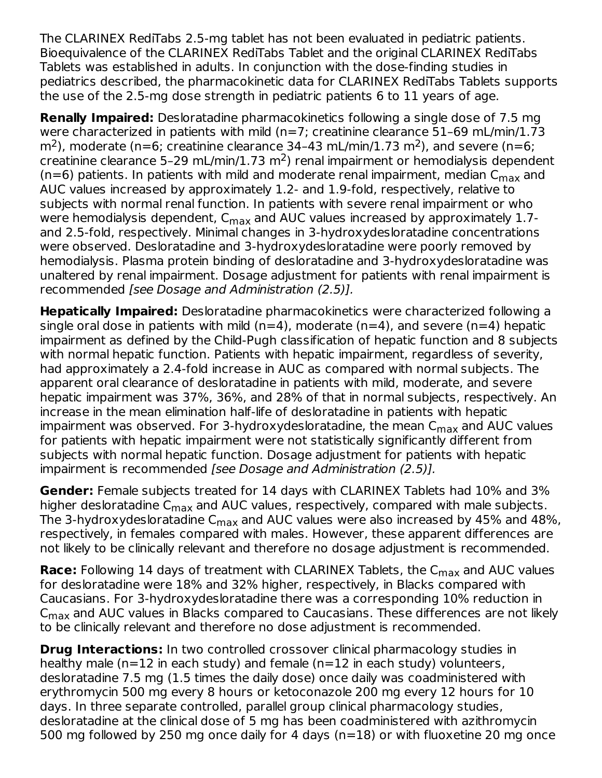The CLARINEX RediTabs 2.5-mg tablet has not been evaluated in pediatric patients. Bioequivalence of the CLARINEX RediTabs Tablet and the original CLARINEX RediTabs Tablets was established in adults. In conjunction with the dose-finding studies in pediatrics described, the pharmacokinetic data for CLARINEX RediTabs Tablets supports the use of the 2.5-mg dose strength in pediatric patients 6 to 11 years of age.

**Renally Impaired:** Desloratadine pharmacokinetics following a single dose of 7.5 mg were characterized in patients with mild (n=7; creatinine clearance 51-69 mL/min/1.73  $m<sup>2</sup>$ ), moderate (n=6; creatinine clearance 34-43 mL/min/1.73 m<sup>2</sup>), and severe (n=6; creatinine clearance 5-29 mL/min/1.73 m<sup>2</sup>) renal impairment or hemodialysis dependent (n=6) patients. In patients with mild and moderate renal impairment, median  ${\sf C}_{\sf max}$  and AUC values increased by approximately 1.2- and 1.9-fold, respectively, relative to subjects with normal renal function. In patients with severe renal impairment or who were hemodialysis dependent,  $\mathsf{C}_{\mathsf{max}}$  and AUC values increased by approximately 1.7and 2.5-fold, respectively. Minimal changes in 3-hydroxydesloratadine concentrations were observed. Desloratadine and 3-hydroxydesloratadine were poorly removed by hemodialysis. Plasma protein binding of desloratadine and 3-hydroxydesloratadine was unaltered by renal impairment. Dosage adjustment for patients with renal impairment is recommended [see Dosage and Administration (2.5)].

**Hepatically Impaired:** Desloratadine pharmacokinetics were characterized following a single oral dose in patients with mild ( $n=4$ ), moderate ( $n=4$ ), and severe ( $n=4$ ) hepatic impairment as defined by the Child-Pugh classification of hepatic function and 8 subjects with normal hepatic function. Patients with hepatic impairment, regardless of severity, had approximately a 2.4-fold increase in AUC as compared with normal subjects. The apparent oral clearance of desloratadine in patients with mild, moderate, and severe hepatic impairment was 37%, 36%, and 28% of that in normal subjects, respectively. An increase in the mean elimination half-life of desloratadine in patients with hepatic impairment was observed. For 3-hydroxydesloratadine, the mean C<sub>max</sub> and AUC values for patients with hepatic impairment were not statistically significantly different from subjects with normal hepatic function. Dosage adjustment for patients with hepatic impairment is recommended [see Dosage and Administration (2.5)].

**Gender:** Female subjects treated for 14 days with CLARINEX Tablets had 10% and 3% higher desloratadine C<sub>max</sub> and AUC values, respectively, compared with male subjects. The 3-hydroxydesloratadine C $_{\sf max}$  and AUC values were also increased by 45% and 48%, respectively, in females compared with males. However, these apparent differences are not likely to be clinically relevant and therefore no dosage adjustment is recommended.

**Race:** Following 14 days of treatment with CLARINEX Tablets, the  $C_{\rm max}$  and AUC values for desloratadine were 18% and 32% higher, respectively, in Blacks compared with Caucasians. For 3-hydroxydesloratadine there was a corresponding 10% reduction in  $\mathsf{C}_{\mathsf{max}}$  and AUC values in Blacks compared to Caucasians. These differences are not likely to be clinically relevant and therefore no dose adjustment is recommended.

**Drug Interactions:** In two controlled crossover clinical pharmacology studies in healthy male ( $n=12$  in each study) and female ( $n=12$  in each study) volunteers, desloratadine 7.5 mg (1.5 times the daily dose) once daily was coadministered with erythromycin 500 mg every 8 hours or ketoconazole 200 mg every 12 hours for 10 days. In three separate controlled, parallel group clinical pharmacology studies, desloratadine at the clinical dose of 5 mg has been coadministered with azithromycin 500 mg followed by 250 mg once daily for 4 days (n=18) or with fluoxetine 20 mg once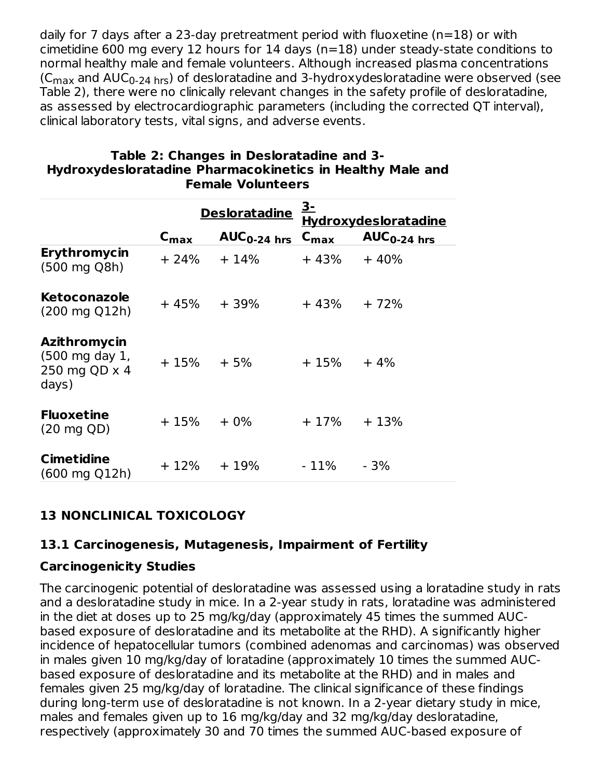daily for 7 days after a 23-day pretreatment period with fluoxetine (n=18) or with cimetidine 600 mg every 12 hours for 14 days (n=18) under steady-state conditions to normal healthy male and female volunteers. Although increased plasma concentrations (C $_{\rm max}$  and AUC $_{\rm 0\text{-}24\text{ hrs}}$ ) of desloratadine and 3-hydroxydesloratadine were observed (see Table 2), there were no clinically relevant changes in the safety profile of desloratadine, as assessed by electrocardiographic parameters (including the corrected QT interval), clinical laboratory tests, vital signs, and adverse events.

|                                                          | <b>Desloratadine</b> |                  | <u>3-</u><br><b>Hydroxydesloratadine</b> |                  |
|----------------------------------------------------------|----------------------|------------------|------------------------------------------|------------------|
|                                                          | $c_{\text{max}}$     | $AUC_{0-24}$ hrs | $C_{\text{max}}$                         | $AUC_{0-24}$ hrs |
| <b>Erythromycin</b><br>(500 mg Q8h)                      | $+24%$               | $+14%$           | + 43%                                    | $+40%$           |
| <b>Ketoconazole</b><br>$(200 \text{ mg } Q12h)$          | + 45%                | + 39%            | + 43%                                    | $+72%$           |
| Azithromycin<br>(500 mg day 1,<br>250 mg QD x 4<br>days) | $+15\% + 5\%$        |                  | $+15\% + 4\%$                            |                  |
| <b>Fluoxetine</b><br>$(20 \text{ mg } QD)$               | + 15%                | $+0\%$           | $+17%$                                   | $+13%$           |
| <b>Cimetidine</b><br>$(600 \text{ mg } Q12h)$            | $+12\%$              | $+19%$           | - 11%                                    | - 3%             |

#### **Table 2: Changes in Desloratadine and 3- Hydroxydesloratadine Pharmacokinetics in Healthy Male and Female Volunteers**

# **13 NONCLINICAL TOXICOLOGY**

### **13.1 Carcinogenesis, Mutagenesis, Impairment of Fertility**

### **Carcinogenicity Studies**

The carcinogenic potential of desloratadine was assessed using a loratadine study in rats and a desloratadine study in mice. In a 2-year study in rats, loratadine was administered in the diet at doses up to 25 mg/kg/day (approximately 45 times the summed AUCbased exposure of desloratadine and its metabolite at the RHD). A significantly higher incidence of hepatocellular tumors (combined adenomas and carcinomas) was observed in males given 10 mg/kg/day of loratadine (approximately 10 times the summed AUCbased exposure of desloratadine and its metabolite at the RHD) and in males and females given 25 mg/kg/day of loratadine. The clinical significance of these findings during long-term use of desloratadine is not known. In a 2-year dietary study in mice, males and females given up to 16 mg/kg/day and 32 mg/kg/day desloratadine, respectively (approximately 30 and 70 times the summed AUC-based exposure of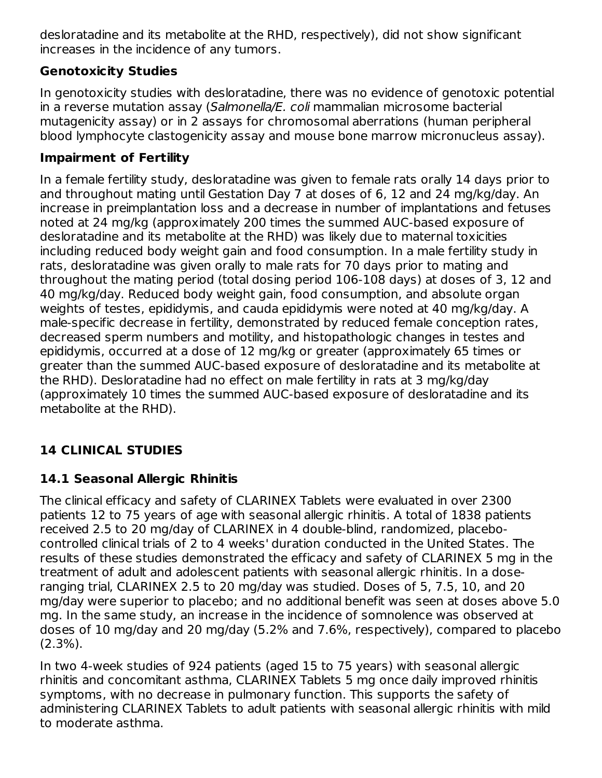desloratadine and its metabolite at the RHD, respectively), did not show significant increases in the incidence of any tumors.

## **Genotoxicity Studies**

In genotoxicity studies with desloratadine, there was no evidence of genotoxic potential in a reverse mutation assay (Salmonella/E. coli mammalian microsome bacterial mutagenicity assay) or in 2 assays for chromosomal aberrations (human peripheral blood lymphocyte clastogenicity assay and mouse bone marrow micronucleus assay).

## **Impairment of Fertility**

In a female fertility study, desloratadine was given to female rats orally 14 days prior to and throughout mating until Gestation Day 7 at doses of 6, 12 and 24 mg/kg/day. An increase in preimplantation loss and a decrease in number of implantations and fetuses noted at 24 mg/kg (approximately 200 times the summed AUC-based exposure of desloratadine and its metabolite at the RHD) was likely due to maternal toxicities including reduced body weight gain and food consumption. In a male fertility study in rats, desloratadine was given orally to male rats for 70 days prior to mating and throughout the mating period (total dosing period 106-108 days) at doses of 3, 12 and 40 mg/kg/day. Reduced body weight gain, food consumption, and absolute organ weights of testes, epididymis, and cauda epididymis were noted at 40 mg/kg/day. A male-specific decrease in fertility, demonstrated by reduced female conception rates, decreased sperm numbers and motility, and histopathologic changes in testes and epididymis, occurred at a dose of 12 mg/kg or greater (approximately 65 times or greater than the summed AUC-based exposure of desloratadine and its metabolite at the RHD). Desloratadine had no effect on male fertility in rats at 3 mg/kg/day (approximately 10 times the summed AUC-based exposure of desloratadine and its metabolite at the RHD).

# **14 CLINICAL STUDIES**

# **14.1 Seasonal Allergic Rhinitis**

The clinical efficacy and safety of CLARINEX Tablets were evaluated in over 2300 patients 12 to 75 years of age with seasonal allergic rhinitis. A total of 1838 patients received 2.5 to 20 mg/day of CLARINEX in 4 double-blind, randomized, placebocontrolled clinical trials of 2 to 4 weeks' duration conducted in the United States. The results of these studies demonstrated the efficacy and safety of CLARINEX 5 mg in the treatment of adult and adolescent patients with seasonal allergic rhinitis. In a doseranging trial, CLARINEX 2.5 to 20 mg/day was studied. Doses of 5, 7.5, 10, and 20 mg/day were superior to placebo; and no additional benefit was seen at doses above 5.0 mg. In the same study, an increase in the incidence of somnolence was observed at doses of 10 mg/day and 20 mg/day (5.2% and 7.6%, respectively), compared to placebo (2.3%).

In two 4-week studies of 924 patients (aged 15 to 75 years) with seasonal allergic rhinitis and concomitant asthma, CLARINEX Tablets 5 mg once daily improved rhinitis symptoms, with no decrease in pulmonary function. This supports the safety of administering CLARINEX Tablets to adult patients with seasonal allergic rhinitis with mild to moderate asthma.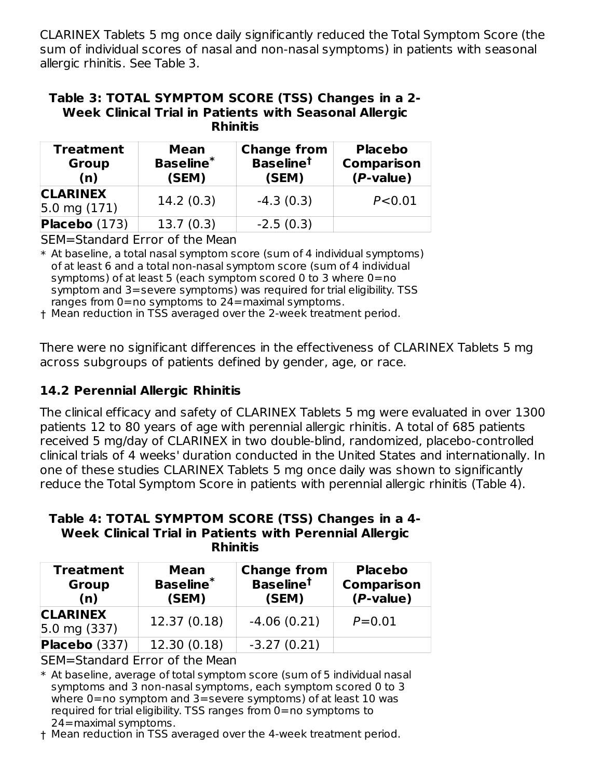CLARINEX Tablets 5 mg once daily significantly reduced the Total Symptom Score (the sum of individual scores of nasal and non-nasal symptoms) in patients with seasonal allergic rhinitis. See Table 3.

#### **Table 3: TOTAL SYMPTOM SCORE (TSS) Changes in a 2- Week Clinical Trial in Patients with Seasonal Allergic Rhinitis**

| <b>Treatment</b><br>Mean<br><b>Baseline*</b><br><b>Group</b><br>(SEM)<br>(n) |           | <b>Change from</b><br><b>Baseline<sup>t</sup></b><br>(SEM) | <b>Placebo</b><br><b>Comparison</b><br>(P-value) |  |
|------------------------------------------------------------------------------|-----------|------------------------------------------------------------|--------------------------------------------------|--|
| <b>CLARINEX</b><br>$5.0 \text{ mg } (171)$                                   | 14.2(0.3) | $-4.3(0.3)$                                                | P < 0.01                                         |  |
| Placebo (173)                                                                | 13.7(0.3) | $-2.5(0.3)$                                                |                                                  |  |

SEM=Standard Error of the Mean

\* At baseline, a total nasal symptom score (sum of 4 individual symptoms) of at least 6 and a total non-nasal symptom score (sum of 4 individual symptoms) of at least 5 (each symptom scored 0 to 3 where 0=no symptom and 3=severe symptoms) was required for trial eligibility. TSS ranges from 0=no symptoms to 24=maximal symptoms.

† Mean reduction in TSS averaged over the 2-week treatment period.

There were no significant differences in the effectiveness of CLARINEX Tablets 5 mg across subgroups of patients defined by gender, age, or race.

# **14.2 Perennial Allergic Rhinitis**

The clinical efficacy and safety of CLARINEX Tablets 5 mg were evaluated in over 1300 patients 12 to 80 years of age with perennial allergic rhinitis. A total of 685 patients received 5 mg/day of CLARINEX in two double-blind, randomized, placebo-controlled clinical trials of 4 weeks' duration conducted in the United States and internationally. In one of these studies CLARINEX Tablets 5 mg once daily was shown to significantly reduce the Total Symptom Score in patients with perennial allergic rhinitis (Table 4).

#### **Table 4: TOTAL SYMPTOM SCORE (TSS) Changes in a 4- Week Clinical Trial in Patients with Perennial Allergic Rhinitis**

| <b>Treatment</b><br>Mean<br><b>Baseline*</b><br><b>Group</b><br>(SEM)<br>(n) |              | <b>Change from</b><br><b>Baseline<sup>t</sup></b><br>(SEM) | <b>Placebo</b><br><b>Comparison</b><br>(P-value) |  |
|------------------------------------------------------------------------------|--------------|------------------------------------------------------------|--------------------------------------------------|--|
| <b>CLARINEX</b><br>$5.0 \text{ mg} (337)$                                    | 12.37 (0.18) | $-4.06(0.21)$                                              | $P = 0.01$                                       |  |
| Placebo (337)                                                                | 12.30 (0.18) | $-3.27(0.21)$                                              |                                                  |  |

SEM=Standard Error of the Mean

\* At baseline, average of total symptom score (sum of 5 individual nasal symptoms and 3 non-nasal symptoms, each symptom scored 0 to 3 where 0=no symptom and 3=severe symptoms) of at least 10 was required for trial eligibility. TSS ranges from 0=no symptoms to 24=maximal symptoms.

† Mean reduction in TSS averaged over the 4-week treatment period.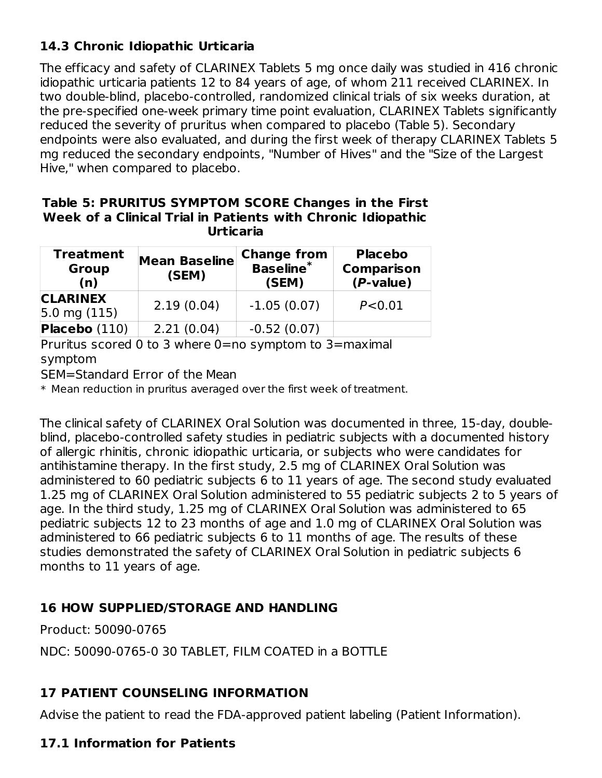## **14.3 Chronic Idiopathic Urticaria**

The efficacy and safety of CLARINEX Tablets 5 mg once daily was studied in 416 chronic idiopathic urticaria patients 12 to 84 years of age, of whom 211 received CLARINEX. In two double-blind, placebo-controlled, randomized clinical trials of six weeks duration, at the pre-specified one-week primary time point evaluation, CLARINEX Tablets significantly reduced the severity of pruritus when compared to placebo (Table 5). Secondary endpoints were also evaluated, and during the first week of therapy CLARINEX Tablets 5 mg reduced the secondary endpoints, "Number of Hives" and the "Size of the Largest Hive," when compared to placebo.

#### **Table 5: PRURITUS SYMPTOM SCORE Changes in the First Week of a Clinical Trial in Patients with Chronic Idiopathic Urticaria**

| <b>Treatment</b><br><b>Mean Baseline</b><br><b>Group</b><br>(SEM)<br>(n) |            | <b>Change from</b><br><b>Baseline</b> *<br>(SEM) | <b>Placebo</b><br><b>Comparison</b><br>$(P-value)$ |  |
|--------------------------------------------------------------------------|------------|--------------------------------------------------|----------------------------------------------------|--|
| <b>CLARINEX</b><br>$ 5.0 \text{ mg } (115)$                              | 2.19(0.04) | $-1.05(0.07)$                                    | P < 0.01                                           |  |
| Placebo (110)                                                            | 2.21(0.04) | $-0.52(0.07)$                                    |                                                    |  |

Pruritus scored 0 to 3 where 0=no symptom to 3=maximal symptom

SEM=Standard Error of the Mean

 $\,^*$  Mean reduction in pruritus averaged over the first week of treatment.

The clinical safety of CLARINEX Oral Solution was documented in three, 15-day, doubleblind, placebo-controlled safety studies in pediatric subjects with a documented history of allergic rhinitis, chronic idiopathic urticaria, or subjects who were candidates for antihistamine therapy. In the first study, 2.5 mg of CLARINEX Oral Solution was administered to 60 pediatric subjects 6 to 11 years of age. The second study evaluated 1.25 mg of CLARINEX Oral Solution administered to 55 pediatric subjects 2 to 5 years of age. In the third study, 1.25 mg of CLARINEX Oral Solution was administered to 65 pediatric subjects 12 to 23 months of age and 1.0 mg of CLARINEX Oral Solution was administered to 66 pediatric subjects 6 to 11 months of age. The results of these studies demonstrated the safety of CLARINEX Oral Solution in pediatric subjects 6 months to 11 years of age.

### **16 HOW SUPPLIED/STORAGE AND HANDLING**

Product: 50090-0765

NDC: 50090-0765-0 30 TABLET, FILM COATED in a BOTTLE

# **17 PATIENT COUNSELING INFORMATION**

Advise the patient to read the FDA-approved patient labeling (Patient Information).

### **17.1 Information for Patients**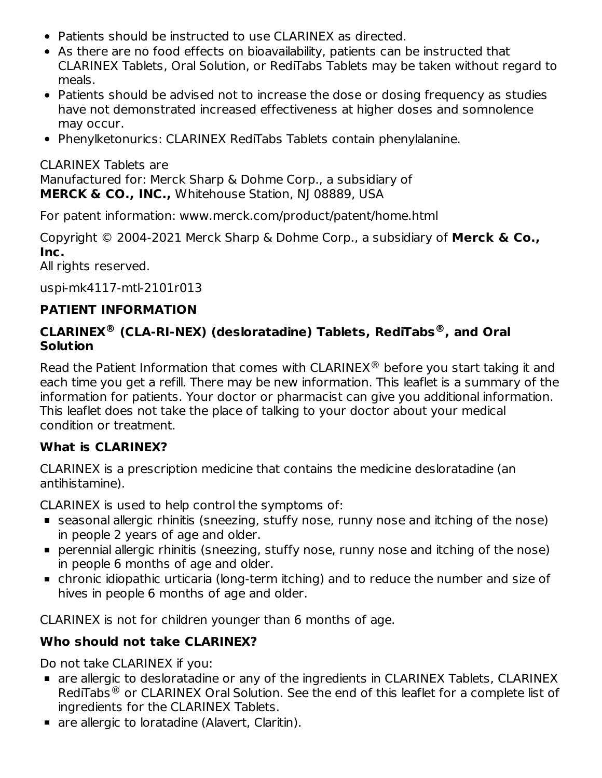- Patients should be instructed to use CLARINEX as directed.
- As there are no food effects on bioavailability, patients can be instructed that CLARINEX Tablets, Oral Solution, or RediTabs Tablets may be taken without regard to meals.
- Patients should be advised not to increase the dose or dosing frequency as studies have not demonstrated increased effectiveness at higher doses and somnolence may occur.
- Phenylketonurics: CLARINEX RediTabs Tablets contain phenylalanine.

CLARINEX Tablets are Manufactured for: Merck Sharp & Dohme Corp., a subsidiary of **MERCK & CO., INC.,** Whitehouse Station, NJ 08889, USA

For patent information: www.merck.com/product/patent/home.html

Copyright © 2004-2021 Merck Sharp & Dohme Corp., a subsidiary of **Merck & Co., Inc.**

All rights reserved.

uspi-mk4117-mtl-2101r013

### **PATIENT INFORMATION**

### **CLARINEX (CLA-RI-NEX) (desloratadine) Tablets, RediTabs , and Oral ® ® Solution**

Read the Patient Information that comes with CLARINEX $\textcircled{\tiny{\textcirc}}$  before you start taking it and each time you get a refill. There may be new information. This leaflet is a summary of the information for patients. Your doctor or pharmacist can give you additional information. This leaflet does not take the place of talking to your doctor about your medical condition or treatment.

### **What is CLARINEX?**

CLARINEX is a prescription medicine that contains the medicine desloratadine (an antihistamine).

CLARINEX is used to help control the symptoms of:

- seasonal allergic rhinitis (sneezing, stuffy nose, runny nose and itching of the nose) in people 2 years of age and older.
- perennial allergic rhinitis (sneezing, stuffy nose, runny nose and itching of the nose) in people 6 months of age and older.
- chronic idiopathic urticaria (long-term itching) and to reduce the number and size of hives in people 6 months of age and older.

CLARINEX is not for children younger than 6 months of age.

### **Who should not take CLARINEX?**

Do not take CLARINEX if you:

- are allergic to desloratadine or any of the ingredients in CLARINEX Tablets, CLARINEX RediTabs $^{\circledR}$  or CLARINEX Oral Solution. See the end of this leaflet for a complete list of ingredients for the CLARINEX Tablets.
- **are allergic to loratadine (Alavert, Claritin).**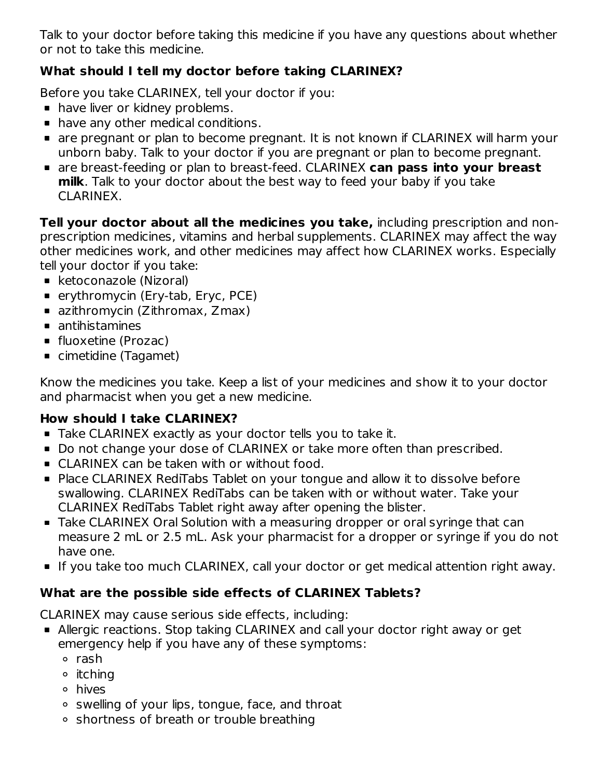Talk to your doctor before taking this medicine if you have any questions about whether or not to take this medicine.

# **What should I tell my doctor before taking CLARINEX?**

Before you take CLARINEX, tell your doctor if you:

- **have liver or kidney problems.**
- **•** have any other medical conditions.
- are pregnant or plan to become pregnant. It is not known if CLARINEX will harm your unborn baby. Talk to your doctor if you are pregnant or plan to become pregnant.
- are breast-feeding or plan to breast-feed. CLARINEX **can pass into your breast milk**. Talk to your doctor about the best way to feed your baby if you take CLARINEX.

**Tell your doctor about all the medicines you take,** including prescription and nonprescription medicines, vitamins and herbal supplements. CLARINEX may affect the way other medicines work, and other medicines may affect how CLARINEX works. Especially tell your doctor if you take:

- ketoconazole (Nizoral)
- erythromycin (Ery-tab, Eryc, PCE)
- azithromycin (Zithromax, Zmax)
- antihistamines
- **fluoxetine (Prozac)**
- cimetidine (Tagamet)

Know the medicines you take. Keep a list of your medicines and show it to your doctor and pharmacist when you get a new medicine.

# **How should I take CLARINEX?**

- Take CLARINEX exactly as your doctor tells you to take it.
- Do not change your dose of CLARINEX or take more often than prescribed.
- CLARINEX can be taken with or without food.
- Place CLARINEX RediTabs Tablet on your tongue and allow it to dissolve before swallowing. CLARINEX RediTabs can be taken with or without water. Take your CLARINEX RediTabs Tablet right away after opening the blister.
- Take CLARINEX Oral Solution with a measuring dropper or oral syringe that can measure 2 mL or 2.5 mL. Ask your pharmacist for a dropper or syringe if you do not have one.
- If you take too much CLARINEX, call your doctor or get medical attention right away.

# **What are the possible side effects of CLARINEX Tablets?**

CLARINEX may cause serious side effects, including:

- Allergic reactions. Stop taking CLARINEX and call your doctor right away or get emergency help if you have any of these symptoms:
	- rash
	- $\circ$  itching
	- hives
	- $\circ$  swelling of your lips, tongue, face, and throat
	- shortness of breath or trouble breathing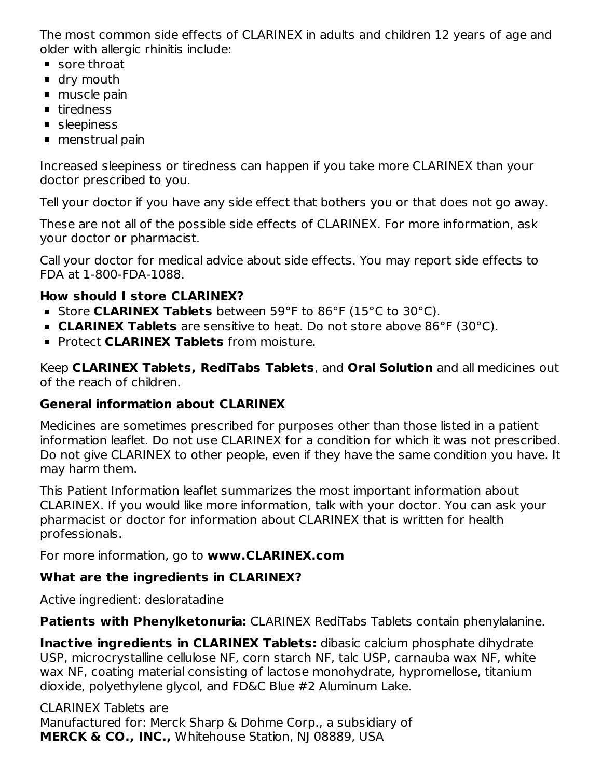The most common side effects of CLARINEX in adults and children 12 years of age and older with allergic rhinitis include:

- sore throat
- **dry mouth**
- muscle pain
- **firedness**
- sleepiness
- menstrual pain

Increased sleepiness or tiredness can happen if you take more CLARINEX than your doctor prescribed to you.

Tell your doctor if you have any side effect that bothers you or that does not go away.

These are not all of the possible side effects of CLARINEX. For more information, ask your doctor or pharmacist.

Call your doctor for medical advice about side effects. You may report side effects to FDA at 1-800-FDA-1088.

## **How should I store CLARINEX?**

- Store **CLARINEX Tablets** between 59°F to 86°F (15°C to 30°C).
- **CLARINEX Tablets** are sensitive to heat. Do not store above 86°F (30°C).
- Protect **CLARINEX Tablets** from moisture.

Keep **CLARINEX Tablets, RediTabs Tablets**, and **Oral Solution** and all medicines out of the reach of children.

### **General information about CLARINEX**

Medicines are sometimes prescribed for purposes other than those listed in a patient information leaflet. Do not use CLARINEX for a condition for which it was not prescribed. Do not give CLARINEX to other people, even if they have the same condition you have. It may harm them.

This Patient Information leaflet summarizes the most important information about CLARINEX. If you would like more information, talk with your doctor. You can ask your pharmacist or doctor for information about CLARINEX that is written for health professionals.

For more information, go to **www.CLARINEX.com**

### **What are the ingredients in CLARINEX?**

Active ingredient: desloratadine

**Patients with Phenylketonuria:** CLARINEX RediTabs Tablets contain phenylalanine.

**Inactive ingredients in CLARINEX Tablets:** dibasic calcium phosphate dihydrate USP, microcrystalline cellulose NF, corn starch NF, talc USP, carnauba wax NF, white wax NF, coating material consisting of lactose monohydrate, hypromellose, titanium dioxide, polyethylene glycol, and FD&C Blue #2 Aluminum Lake.

CLARINEX Tablets are Manufactured for: Merck Sharp & Dohme Corp., a subsidiary of **MERCK & CO., INC.,** Whitehouse Station, NJ 08889, USA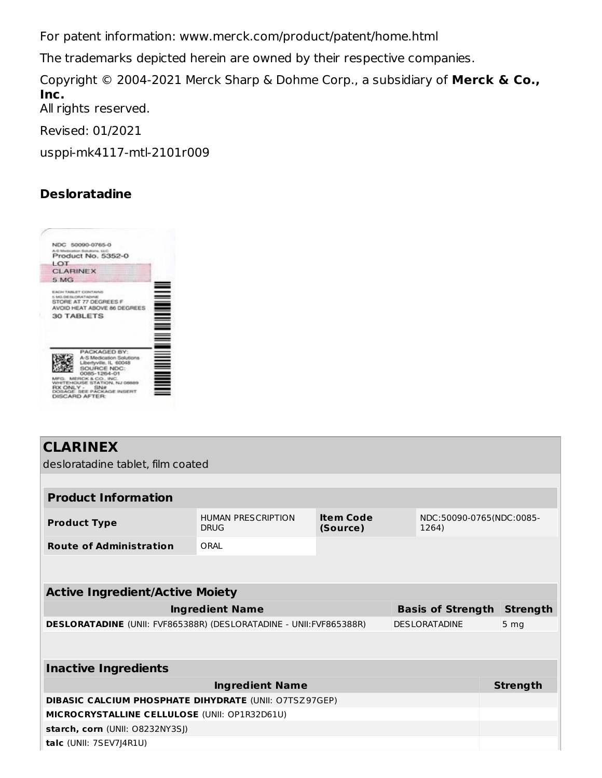For patent information: www.merck.com/product/patent/home.html

The trademarks depicted herein are owned by their respective companies.

Copyright © 2004-2021 Merck Sharp & Dohme Corp., a subsidiary of **Merck & Co., Inc.** All rights reserved.

Revised: 01/2021

usppi-mk4117-mtl-2101r009

## **Desloratadine**

|                     | NDC 50090-0765-0                                                                                                                                                                                    |  |
|---------------------|-----------------------------------------------------------------------------------------------------------------------------------------------------------------------------------------------------|--|
|                     | A-6 Marticulous Satukova, S.L.C.<br>Product No. 5352-0                                                                                                                                              |  |
| IOT                 |                                                                                                                                                                                                     |  |
| <b>CLARINEX</b>     |                                                                                                                                                                                                     |  |
| 5 MG                |                                                                                                                                                                                                     |  |
| 5 MG DETA ORATADANE | <b>EACH TABLET CONTAINS</b><br>STORE AT 77 DEGREES F<br>AVOID HEAT ABOVE 86 DEGREES<br>30 TABLETS                                                                                                   |  |
| 83 C                | PACKAGED BY:<br>A-S Medication Solutions<br>Libertyville, IL 60048<br>SOURCE NDC:<br>0085-1264-01<br>K&CO, INC.<br>STATION, NJ 08<br><b>CIR XTER</b><br><b>CHAIN INSER</b><br><b>DISCARD AFTER:</b> |  |

# **CLARINEX**

desloratadine tablet, film coated

| <b>Product Information</b>                                                                          |                                          |                              |  |                                   |                 |  |
|-----------------------------------------------------------------------------------------------------|------------------------------------------|------------------------------|--|-----------------------------------|-----------------|--|
| <b>Product Type</b>                                                                                 | <b>HUMAN PRESCRIPTION</b><br><b>DRUG</b> | <b>Item Code</b><br>(Source) |  | NDC:50090-0765(NDC:0085-<br>1264) |                 |  |
| <b>Route of Administration</b>                                                                      | ORAL                                     |                              |  |                                   |                 |  |
|                                                                                                     |                                          |                              |  |                                   |                 |  |
| <b>Active Ingredient/Active Moiety</b>                                                              |                                          |                              |  |                                   |                 |  |
| <b>Ingredient Name</b><br><b>Basis of Strength</b>                                                  |                                          |                              |  |                                   | <b>Strength</b> |  |
| <b>DESLORATADINE</b> (UNII: FVF865388R) (DESLORATADINE - UNII: FVF865388R)<br><b>DESI ORATADINE</b> |                                          |                              |  |                                   | 5 <sub>mg</sub> |  |
|                                                                                                     |                                          |                              |  |                                   |                 |  |
| <b>Inactive Ingredients</b>                                                                         |                                          |                              |  |                                   |                 |  |
| <b>Ingredient Name</b>                                                                              |                                          |                              |  |                                   | <b>Strength</b> |  |
| <b>DIBASIC CALCIUM PHOSPHATE DIHYDRATE (UNII: O7TSZ97GEP)</b>                                       |                                          |                              |  |                                   |                 |  |
| MICROCRYSTALLINE CELLULOSE (UNII: OP1R32D61U)                                                       |                                          |                              |  |                                   |                 |  |
| starch, corn (UNII: 08232NY3SJ)                                                                     |                                          |                              |  |                                   |                 |  |
| $talc$ (UNII: $7SEV7$ ] $4R1U$ )                                                                    |                                          |                              |  |                                   |                 |  |